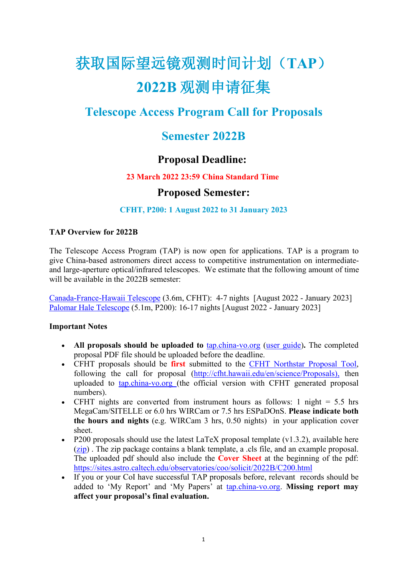# 获取国际望远镜观测时间计划(**TAP**) **2022B** 观测申请征集

# **Telescope Access Program Call for Proposals**

## **Semester 2022B**

## **Proposal Deadline:**

#### **23 March 2022 23:59 China Standard Time**

### **Proposed Semester:**

#### **CFHT, P200: 1 August 2022 to 31 January 2023**

#### **TAP Overview for 2022B**

The Telescope Access Program (TAP) is now open for applications. TAP is a program to give China-based astronomers direct access to competitive instrumentation on intermediate and large-aperture optical/infrared telescopes. We estimate that the following amount of time will be available in the 2022B semester:

[Canada-France-Hawaii](http://www.cfht.hawaii.edu/en/science/Proposals/) Telescope (3.6m, CFHT): 4-7 nights [August 2022 - January 2023] Palomar Hale [Telescope](http://www.astro.caltech.edu/palomar/about/telescopes/hale.html) (5.1m, P200): 16-17 nights [August 2022 - January 2023]

#### **Important Notes**

- **All proposals should be uploaded to** [tap.china-vo.org](http://tap.china-vo.org) (user [guide](http://tap.china-vo.org/s/help/guide.html))**.** The completed proposal PDF file should be uploaded before the deadline.
- CFHT proposals should be **first** submitted to the CFHT [Northstar](http://cfht.hawaii.edu/en/science/Proposals/) Proposal Tool, following the call for proposal ([http://cfht.hawaii.edu/en/science/Proposals\)](http://cfht.hawaii.edu/en/science/Proposals/), then uploaded to [tap.china-vo.org](http://tap.china-vo.org) (the official version with CFHT generated proposal numbers).
- CFHT nights are converted from instrument hours as follows: 1 night  $= 5.5$  hrs MegaCam/SITELLE or 6.0 hrs WIRCam or 7.5 hrs ESPaDOnS. **Please indicate both the hours and nights** (e.g. WIRCam 3 hrs, 0.50 nights) in your application cover sheet.
- P200 proposals should use the latest LaTeX proposal template  $(v1.3.2)$ , available here ([zip\)](http://tap.china-vo.org/s/download/tapprop_v1.3.2.zip) . The zip package contains a blank template, a .cls file, and an example proposal. The uploaded pdf should also include the **Cover Sheet** at the beginning of the pdf: <https://sites.astro.caltech.edu/observatories/coo/solicit/2022B/C200.html>
- If you or your CoI have successful TAP proposals before, relevant records should be added to 'My Report' and 'My Papers' at [tap.china-vo.org.](http://tap.china-vo.org) **Missing reportmay affect your proposal's finalevaluation.**